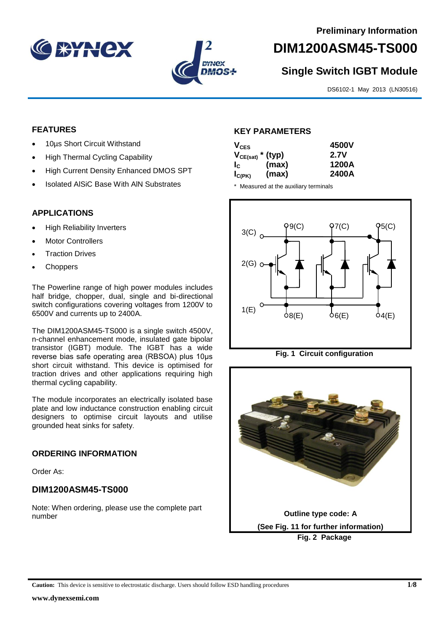



# **DIM1200ASM45-TS000**

# **Single Switch IGBT Module**

DS6102-1 May 2013 (LN30516)

#### **FEATURES**

- 10µs Short Circuit Withstand
- High Thermal Cycling Capability
- High Current Density Enhanced DMOS SPT
- Isolated AlSiC Base With AlN Substrates

## **APPLICATIONS**

- High Reliability Inverters
- Motor Controllers
- Traction Drives
- Choppers

The Powerline range of high power modules includes half bridge, chopper, dual, single and bi-directional switch configurations covering voltages from 1200V to 6500V and currents up to 2400A.

The DIM1200ASM45-TS000 is a single switch 4500V, n-channel enhancement mode, insulated gate bipolar transistor (IGBT) module. The IGBT has a wide reverse bias safe operating area (RBSOA) plus 10μs short circuit withstand. This device is optimised for traction drives and other applications requiring high thermal cycling capability.

The module incorporates an electrically isolated base plate and low inductance construction enabling circuit designers to optimise circuit layouts and utilise grounded heat sinks for safety.

#### **ORDERING INFORMATION**

Order As:

# **DIM1200ASM45-TS000**

Note: When ordering, please use the complete part number

#### **KEY PARAMETERS**

| $V_{CES}$             |       | 4500V |
|-----------------------|-------|-------|
| $V_{CE(sat)}$ * (typ) |       | 2.7V  |
| $I_{\rm c}$           | (max) | 1200A |
| $I_{C(PK)}$           | (max) | 2400A |

\* Measured at the auxiliary terminals





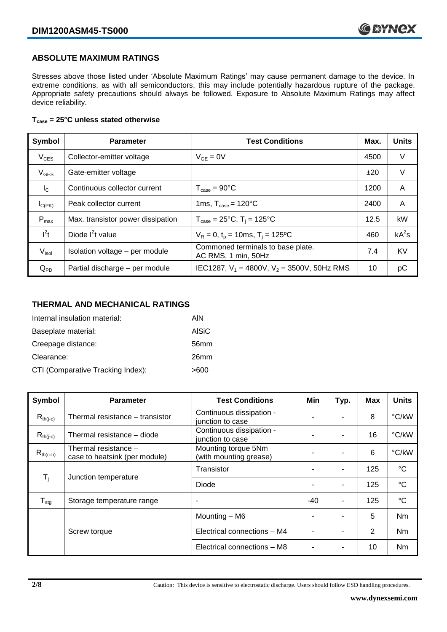#### **ABSOLUTE MAXIMUM RATINGS**

Stresses above those listed under 'Absolute Maximum Ratings' may cause permanent damage to the device. In extreme conditions, as with all semiconductors, this may include potentially hazardous rupture of the package. Appropriate safety precautions should always be followed. Exposure to Absolute Maximum Ratings may affect device reliability.

#### **Tcase = 25°C unless stated otherwise**

| Symbol            | <b>Parameter</b>                  | <b>Test Conditions</b>                                   |      | <b>Units</b> |
|-------------------|-----------------------------------|----------------------------------------------------------|------|--------------|
| $V_{CES}$         | Collector-emitter voltage         | $V_{GF} = 0V$                                            | 4500 | V            |
| $V_{GES}$         | Gate-emitter voltage              |                                                          | ±20  | V            |
| $I_{\rm C}$       | Continuous collector current      | $T_{\text{case}} = 90^{\circ}$ C                         | 1200 | A            |
| $I_{C(PK)}$       | Peak collector current            | 1ms, $T_{\text{case}} = 120^{\circ}$ C                   | 2400 | A            |
| $P_{\text{max}}$  | Max. transistor power dissipation | $T_{\text{case}} = 25^{\circ}C$ , $T_i = 125^{\circ}C$   | 12.5 | kW           |
| $I^2t$            | Diode $I^2t$ value                | $V_R = 0$ , $t_p = 10$ ms, $T_i = 125$ °C                | 460  | $kA^2s$      |
| V <sub>isol</sub> | Isolation voltage - per module    | Commoned terminals to base plate.<br>AC RMS, 1 min, 50Hz | 7.4  | <b>KV</b>    |
| $Q_{PD}$          | Partial discharge - per module    | IEC1287, $V_1$ = 4800V, $V_2$ = 3500V, 50Hz RMS          | 10   | рC           |

#### **THERMAL AND MECHANICAL RATINGS**

| Internal insulation material:     | AIN          |
|-----------------------------------|--------------|
| Baseplate material:               | <b>AISiC</b> |
| Creepage distance:                | 56mm         |
| Clearance:                        | 26mm         |
| CTI (Comparative Tracking Index): | >600         |

| Symbol                     | <b>Parameter</b>                                      | <b>Test Conditions</b>                        | Min | Typ.           | Max | <b>Units</b>    |
|----------------------------|-------------------------------------------------------|-----------------------------------------------|-----|----------------|-----|-----------------|
| $R_{th(j-c)}$              | Thermal resistance – transistor                       | Continuous dissipation -<br>junction to case  |     |                | 8   | °C/kW           |
| $R_{th(i-c)}$              | Thermal resistance - diode                            | Continuous dissipation -<br>junction to case  |     |                | 16  | °C/kW           |
| $R_{th(c-h)}$              | Thermal resistance -<br>case to heatsink (per module) | Mounting torque 5Nm<br>(with mounting grease) | ٠   |                | 6   | °C/kW           |
| $\mathsf{T}_{\mathsf{i}}$  | Junction temperature                                  | Transistor                                    |     | $\blacksquare$ | 125 | $^{\circ}C$     |
|                            |                                                       | Diode                                         | ٠   |                | 125 | $\rm ^{\circ}C$ |
| ${\mathsf T}_{\text{stg}}$ | Storage temperature range                             | $\overline{\phantom{a}}$                      | -40 | $\blacksquare$ | 125 | $^{\circ}C$     |
|                            |                                                       | Mounting - M6                                 |     |                | 5   | <b>Nm</b>       |
|                            | Screw torque                                          | Electrical connections - M4                   |     |                | 2   | Nm              |
|                            |                                                       | Electrical connections - M8                   |     |                | 10  | Nm              |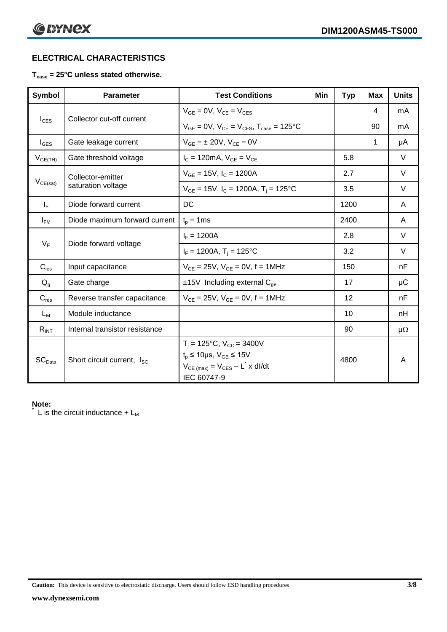# **ELECTRICAL CHARACTERISTICS**

#### **Tcase = 25°C unless stated otherwise.**

| Symbol             | <b>Parameter</b>                       | <b>Test Conditions</b>                                                                                                                                      | Min | <b>Typ</b> | <b>Max</b>   | <b>Units</b> |
|--------------------|----------------------------------------|-------------------------------------------------------------------------------------------------------------------------------------------------------------|-----|------------|--------------|--------------|
| $I_{\text{CES}}$   | Collector cut-off current              | $V_{GF} = 0V$ , $V_{CF} = V_{CFS}$                                                                                                                          |     |            | 4            | mA           |
|                    |                                        | $V_{GF} = 0V$ , $V_{CF} = V_{CES}$ , $T_{case} = 125^{\circ}C$                                                                                              |     |            | 90           | mA           |
| $I_{\text{GES}}$   | Gate leakage current                   | $V_{GF} = \pm 20V$ , $V_{CF} = 0V$                                                                                                                          |     |            | $\mathbf{1}$ | μA           |
| $V_{GE(TH)}$       | Gate threshold voltage                 | $I_{C} = 120 \text{mA}, V_{GE} = V_{CE}$                                                                                                                    |     | 5.8        |              | V            |
|                    | Collector-emitter                      | $V_{GE}$ = 15V, $I_c$ = 1200A                                                                                                                               |     | 2.7        |              | V            |
| $V_{CE(sat)}$      | saturation voltage                     | $V_{GE}$ = 15V, $I_C$ = 1200A, $T_i$ = 125°C                                                                                                                |     | 3.5        |              | $\vee$       |
| $I_F$              | Diode forward current                  | DC                                                                                                                                                          |     | 1200       |              | A            |
| $I_{FM}$           | Diode maximum forward current          | $t_p = 1$ ms                                                                                                                                                |     | 2400       |              | A            |
| $V_F$              | Diode forward voltage                  | $I_F = 1200A$                                                                                                                                               |     | 2.8        |              | $\vee$       |
|                    |                                        | $I_F = 1200A$ , $T_i = 125^{\circ}C$                                                                                                                        |     | 3.2        |              | V            |
| $C_{\text{ies}}$   | Input capacitance                      | $V_{CE} = 25V$ , $V_{GE} = 0V$ , f = 1MHz                                                                                                                   |     | 150        |              | nF           |
| $Q_g$              | Gate charge                            | $±15V$ Including external $C_{ge}$                                                                                                                          |     | 17         |              | $\mu$ C      |
| $C_{res}$          | Reverse transfer capacitance           | $V_{CE} = 25V$ , $V_{GE} = 0V$ , f = 1MHz                                                                                                                   |     | 12         |              | nF           |
| $L_M$              | Module inductance                      |                                                                                                                                                             |     | 10         |              | nH           |
| $R_{INT}$          | Internal transistor resistance         |                                                                                                                                                             |     | 90         |              | $\mu\Omega$  |
| SC <sub>Data</sub> | Short circuit current, I <sub>SC</sub> | $T_i = 125$ °C, $V_{CC} = 3400V$<br>$t_p \le 10 \mu s$ , $V_{GE} \le 15 V$<br>$V_{CE \text{ (max)}} = V_{CES} - L^{\dagger} x \text{ dI/dt}$<br>IEC 60747-9 |     | 4800       |              | A            |

#### **Note:**

L is the circuit inductance  $+ L_M$ 

**Caution:** This device is sensitive to electrostatic discharge. Users should follow ESD handling procedures **3/8**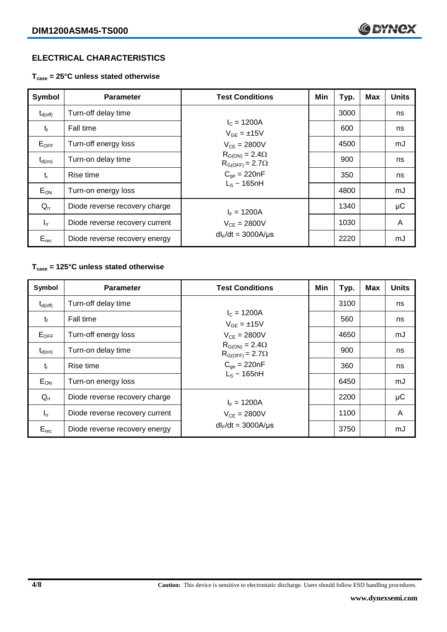# **ELECTRICAL CHARACTERISTICS**

**Tcase = 25°C unless stated otherwise**

| Symbol              | <b>Parameter</b>               | <b>Test Conditions</b>                              | Min | Typ. | Max | <b>Units</b> |
|---------------------|--------------------------------|-----------------------------------------------------|-----|------|-----|--------------|
| $t_{d(\text{off})}$ | Turn-off delay time            |                                                     |     | 3000 |     | ns           |
| $t_{\rm f}$         | <b>Fall time</b>               | $I_c = 1200A$<br>$V_{GF} = \pm 15V$                 |     | 600  |     | ns           |
| $E_{OFF}$           | Turn-off energy loss           | $V_{CF} = 2800V$                                    |     | 4500 |     | mJ           |
| $t_{d(on)}$         | Turn-on delay time             | $R_{G(ON)} = 2.4\Omega$<br>$R_{G(OFF)} = 2.7\Omega$ |     | 900  |     | ns           |
| $t_{r}$             | Rise time                      | $C_{\text{qe}} = 220nF$                             |     | 350  |     | ns           |
| $E_{ON}$            | Turn-on energy loss            | $L_s \sim 165$ nH                                   |     | 4800 |     | mJ           |
| $Q_{rr}$            | Diode reverse recovery charge  | $I_F = 1200A$                                       |     | 1340 |     | $\mu$ C      |
| $I_{rr}$            | Diode reverse recovery current | $V_{CE} = 2800V$                                    |     | 1030 |     | A            |
| $E_{rec}$           | Diode reverse recovery energy  | $dl_F/dt = 3000A/\mu s$                             |     | 2220 |     | mJ           |

## **Tcase = 125°C unless stated otherwise**

| Symbol       | <b>Parameter</b>               | <b>Test Conditions</b>                                                         | Min | Typ. | Max | <b>Units</b> |
|--------------|--------------------------------|--------------------------------------------------------------------------------|-----|------|-----|--------------|
| $t_{d(off)}$ | Turn-off delay time            |                                                                                |     | 3100 |     | ns           |
| $t_{\rm f}$  | Fall time                      | $I_c = 1200A$<br>$V_{GE} = \pm 15V$                                            |     | 560  |     | ns           |
| $E_{OFF}$    | Turn-off energy loss           | $V_{CE} = 2800V$                                                               |     | 4650 |     | mJ           |
| $t_{d(on)}$  | Turn-on delay time             | $R_{G(ON)} = 2.4\Omega$<br>$R_{G(OFF)} = 2.7\Omega$<br>$C_{\text{qe}} = 220nF$ |     | 900  |     | ns           |
| $t_{r}$      | Rise time                      |                                                                                |     | 360  |     | ns           |
| $E_{ON}$     | Turn-on energy loss            | $L_s \sim 165$ nH                                                              |     | 6450 |     | mJ           |
| $Q_{rr}$     | Diode reverse recovery charge  | $I_F = 1200A$                                                                  |     | 2200 |     | μC           |
| $I_{rr}$     | Diode reverse recovery current | $V_{CE} = 2800V$                                                               |     | 1100 |     | A            |
| $E_{rec}$    | Diode reverse recovery energy  | $dl_F/dt = 3000A/\mu s$                                                        |     | 3750 |     | mJ           |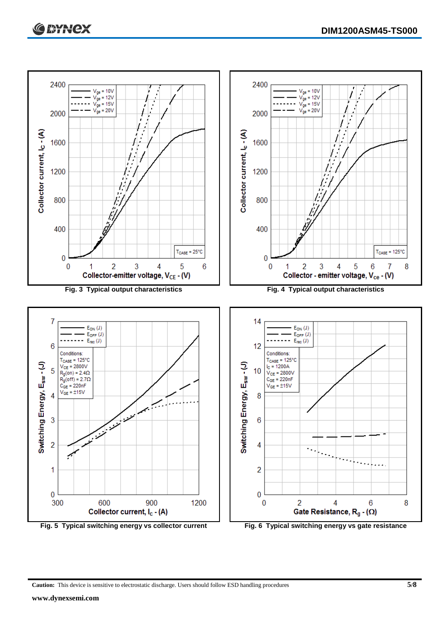

**Fig. 5 Typical switching energy vs collector current Fig. 6 Typical switching energy vs gate resistance**

**Caution:** This device is sensitive to electrostatic discharge. Users should follow ESD handling procedures **5/8**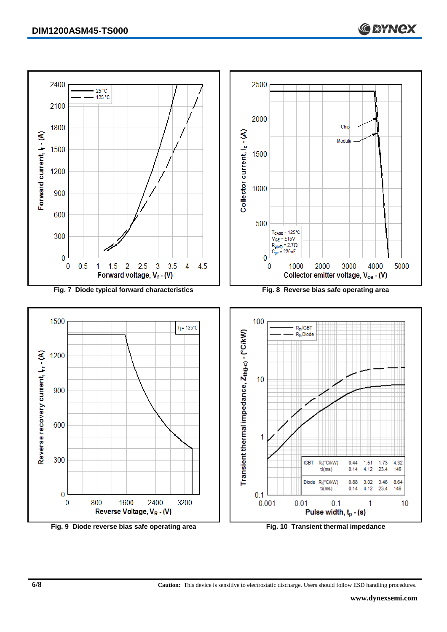

**6/8 Caution:** This device is sensitive to electrostatic discharge. Users should follow ESD handling procedures.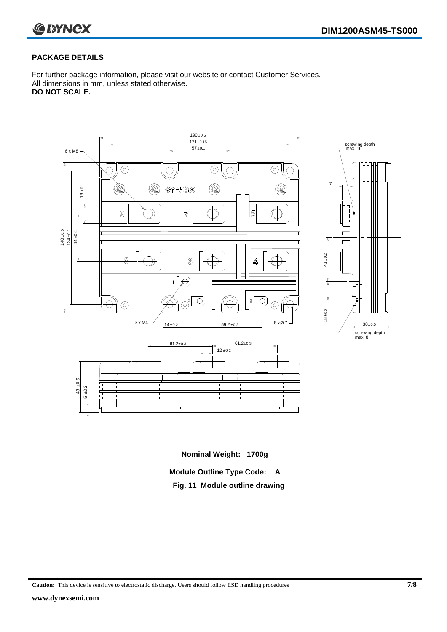

#### **PACKAGE DETAILS**

For further package information, please visit our website or contact Customer Services. All dimensions in mm, unless stated otherwise. **DO NOT SCALE.**



**Caution:** This device is sensitive to electrostatic discharge. Users should follow ESD handling procedures **7/8**